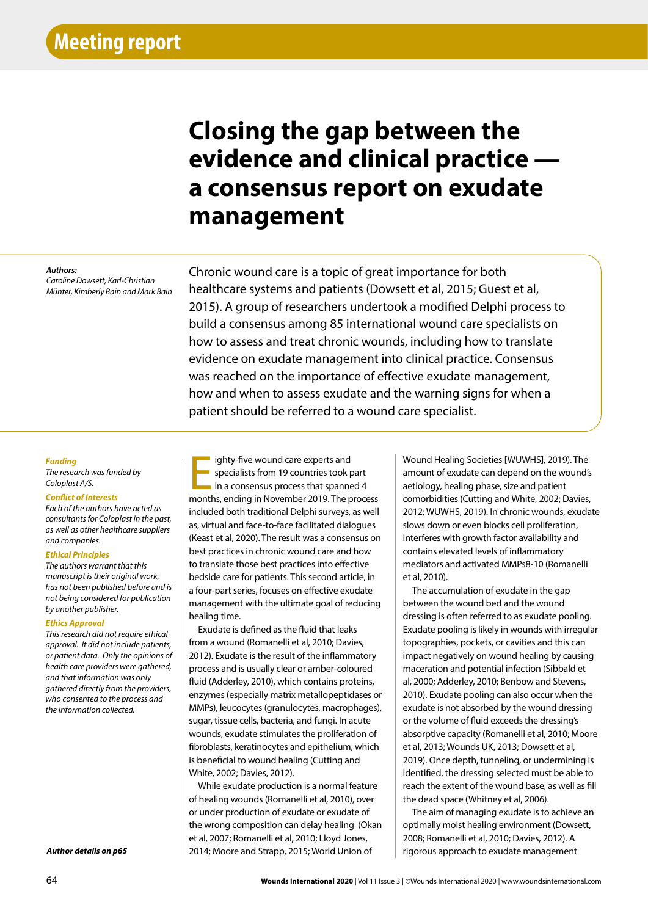# **Closing the gap between the evidence and clinical practice a consensus report on exudate management**

#### *Authors:*

*Caroline Dowsett, Karl-Christian Münter, Kimberly Bain and Mark Bain*

Chronic wound care is a topic of great importance for both healthcare systems and patients (Dowsett et al, 2015; Guest et al, 2015). A group of researchers undertook a modified Delphi process to build a consensus among 85 international wound care specialists on how to assess and treat chronic wounds, including how to translate evidence on exudate management into clinical practice. Consensus was reached on the importance of effective exudate management, how and when to assess exudate and the warning signs for when a patient should be referred to a wound care specialist.

## *Funding*

*The research was funded by Coloplast A/S.*

#### *Conflict of Interests*

*Each of the authors have acted as consultants for Coloplast in the past, as well as other healthcare suppliers and companies.*

## *Ethical Principles*

*The authors warrant that this manuscript is their original work, has not been published before and is not being considered for publication by another publisher.*

## *Ethics Approval*

*This research did not require ethical approval. It did not include patients, or patient data. Only the opinions of health care providers were gathered, and that information was only gathered directly from the providers, who consented to the process and the information collected.*

*Author details on p65*

ighty-five wound care experts and<br>specialists from 19 countries took part<br>in a consensus process that spanned 4<br>months, ending in November 2019. The process ighty-five wound care experts and specialists from 19 countries took part in a consensus process that spanned 4 included both traditional Delphi surveys, as well as, virtual and face-to-face facilitated dialogues (Keast et al, 2020). The result was a consensus on best practices in chronic wound care and how to translate those best practices into effective bedside care for patients. This second article, in a four-part series, focuses on effective exudate management with the ultimate goal of reducing healing time.

Exudate is defined as the fluid that leaks from a wound (Romanelli et al, 2010; Davies, 2012). Exudate is the result of the inflammatory process and is usually clear or amber-coloured fluid (Adderley, 2010), which contains proteins, enzymes (especially matrix metallopeptidases or MMPs), leucocytes (granulocytes, macrophages), sugar, tissue cells, bacteria, and fungi. In acute wounds, exudate stimulates the proliferation of fibroblasts, keratinocytes and epithelium, which is beneficial to wound healing (Cutting and White, 2002; Davies, 2012).

While exudate production is a normal feature of healing wounds (Romanelli et al, 2010), over or under production of exudate or exudate of the wrong composition can delay healing (Okan et al, 2007; Romanelli et al, 2010; Lloyd Jones, 2014; Moore and Strapp, 2015; World Union of

Wound Healing Societies [WUWHS], 2019). The amount of exudate can depend on the wound's aetiology, healing phase, size and patient comorbidities (Cutting and White, 2002; Davies, 2012; WUWHS, 2019). In chronic wounds, exudate slows down or even blocks cell proliferation, interferes with growth factor availability and contains elevated levels of inflammatory mediators and activated MMPs8-10 (Romanelli et al, 2010).

The accumulation of exudate in the gap between the wound bed and the wound dressing is often referred to as exudate pooling. Exudate pooling is likely in wounds with irregular topographies, pockets, or cavities and this can impact negatively on wound healing by causing maceration and potential infection (Sibbald et al, 2000; Adderley, 2010; Benbow and Stevens, 2010). Exudate pooling can also occur when the exudate is not absorbed by the wound dressing or the volume of fluid exceeds the dressing's absorptive capacity (Romanelli et al, 2010; Moore et al, 2013; Wounds UK, 2013; Dowsett et al, 2019). Once depth, tunneling, or undermining is identified, the dressing selected must be able to reach the extent of the wound base, as well as fill the dead space (Whitney et al, 2006).

The aim of managing exudate is to achieve an optimally moist healing environment (Dowsett, 2008; Romanelli et al, 2010; Davies, 2012). A rigorous approach to exudate management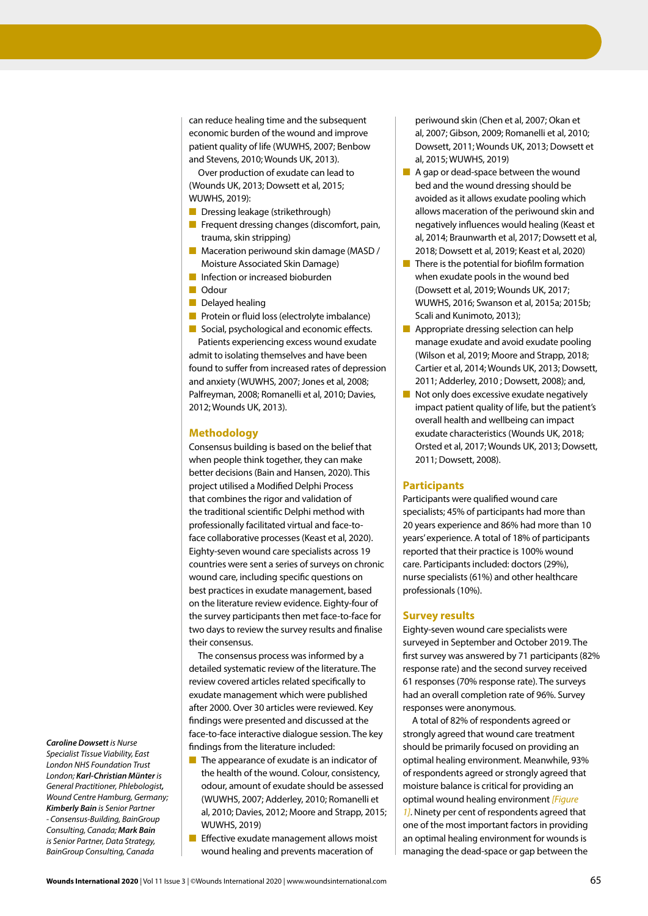can reduce healing time and the subsequent economic burden of the wound and improve patient quality of life (WUWHS, 2007; Benbow and Stevens, 2010; Wounds UK, 2013).

Over production of exudate can lead to (Wounds UK, 2013; Dowsett et al, 2015; WUWHS, 2019):

- Dressing leakage (strikethrough)
- Frequent dressing changes (discomfort, pain, trauma, skin stripping)
- Maceration periwound skin damage (MASD / Moisture Associated Skin Damage)
- Infection or increased bioburden
- Odour
- Delayed healing
- Protein or fluid loss (electrolyte imbalance)

■ Social, psychological and economic effects. Patients experiencing excess wound exudate admit to isolating themselves and have been found to suffer from increased rates of depression and anxiety (WUWHS, 2007; Jones et al, 2008; Palfreyman, 2008; Romanelli et al, 2010; Davies, 2012; Wounds UK, 2013).

## **Methodology**

Consensus building is based on the belief that when people think together, they can make better decisions (Bain and Hansen, 2020). This project utilised a Modified Delphi Process that combines the rigor and validation of the traditional scientific Delphi method with professionally facilitated virtual and face-toface collaborative processes (Keast et al, 2020). Eighty-seven wound care specialists across 19 countries were sent a series of surveys on chronic wound care, including specific questions on best practices in exudate management, based on the literature review evidence. Eighty-four of the survey participants then met face-to-face for two days to review the survey results and finalise their consensus.

The consensus process was informed by a detailed systematic review of the literature. The review covered articles related specifically to exudate management which were published after 2000. Over 30 articles were reviewed. Key findings were presented and discussed at the face-to-face interactive dialogue session. The key findings from the literature included:

- The appearance of exudate is an indicator of the health of the wound. Colour, consistency, odour, amount of exudate should be assessed (WUWHS, 2007; Adderley, 2010; Romanelli et al, 2010; Davies, 2012; Moore and Strapp, 2015; WUWHS, 2019)
- Effective exudate management allows moist wound healing and prevents maceration of

periwound skin (Chen et al, 2007; Okan et al, 2007; Gibson, 2009; Romanelli et al, 2010; Dowsett, 2011; Wounds UK, 2013; Dowsett et al, 2015; WUWHS, 2019)

- A gap or dead-space between the wound bed and the wound dressing should be avoided as it allows exudate pooling which allows maceration of the periwound skin and negatively influences would healing (Keast et al, 2014; Braunwarth et al, 2017; Dowsett et al, 2018; Dowsett et al, 2019; Keast et al, 2020)
- There is the potential for biofilm formation when exudate pools in the wound bed (Dowsett et al, 2019; Wounds UK, 2017; WUWHS, 2016; Swanson et al, 2015a; 2015b; Scali and Kunimoto, 2013);
- Appropriate dressing selection can help manage exudate and avoid exudate pooling (Wilson et al, 2019; Moore and Strapp, 2018; Cartier et al, 2014; Wounds UK, 2013; Dowsett, 2011; Adderley, 2010 ; Dowsett, 2008); and,
- Not only does excessive exudate negatively impact patient quality of life, but the patient's overall health and wellbeing can impact exudate characteristics (Wounds UK, 2018; Orsted et al, 2017; Wounds UK, 2013; Dowsett, 2011; Dowsett, 2008).

## **Participants**

Participants were qualified wound care specialists; 45% of participants had more than 20 years experience and 86% had more than 10 years' experience. A total of 18% of participants reported that their practice is 100% wound care. Participants included: doctors (29%), nurse specialists (61%) and other healthcare professionals (10%).

## **Survey results**

Eighty-seven wound care specialists were surveyed in September and October 2019. The first survey was answered by 71 participants (82% response rate) and the second survey received 61 responses (70% response rate). The surveys had an overall completion rate of 96%. Survey responses were anonymous.

A total of 82% of respondents agreed or strongly agreed that wound care treatment should be primarily focused on providing an optimal healing environment. Meanwhile, 93% of respondents agreed or strongly agreed that moisture balance is critical for providing an optimal wound healing environment *[Figure 1]*. Ninety per cent of respondents agreed that one of the most important factors in providing an optimal healing environment for wounds is managing the dead-space or gap between the

*Caroline Dowsett is Nurse Specialist Tissue Viability, East London NHS Foundation Trust London; Karl-Christian Münter is General Practitioner, Phlebologist, Wound Centre Hamburg, Germany; Kimberly Bain is Senior Partner - Consensus-Building, BainGroup Consulting, Canada; Mark Bain is Senior Partner, Data Strategy, BainGroup Consulting, Canada*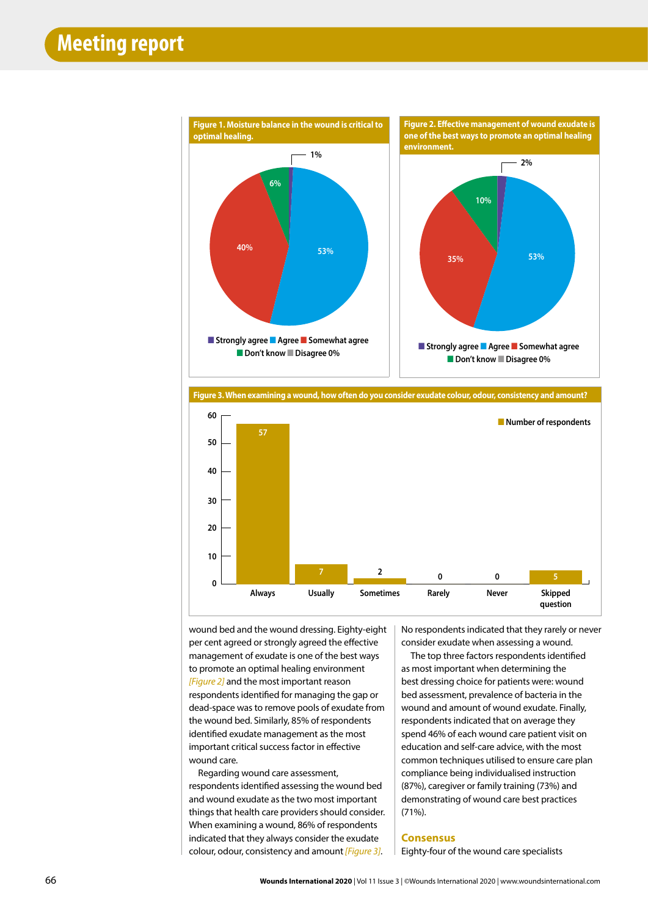



wound bed and the wound dressing. Eighty-eight per cent agreed or strongly agreed the effective management of exudate is one of the best ways to promote an optimal healing environment *[Figure 2]* and the most important reason respondents identified for managing the gap or dead-space was to remove pools of exudate from the wound bed. Similarly, 85% of respondents identified exudate management as the most important critical success factor in effective wound care.

Regarding wound care assessment, respondents identified assessing the wound bed and wound exudate as the two most important things that health care providers should consider. When examining a wound, 86% of respondents indicated that they always consider the exudate colour, odour, consistency and amount*[Figure 3]*.

No respondents indicated that they rarely or never consider exudate when assessing a wound.

The top three factors respondents identified as most important when determining the best dressing choice for patients were: wound bed assessment, prevalence of bacteria in the wound and amount of wound exudate. Finally, respondents indicated that on average they spend 46% of each wound care patient visit on education and self-care advice, with the most common techniques utilised to ensure care plan compliance being individualised instruction (87%), caregiver or family training (73%) and demonstrating of wound care best practices (71%).

## **Consensus**

Eighty-four of the wound care specialists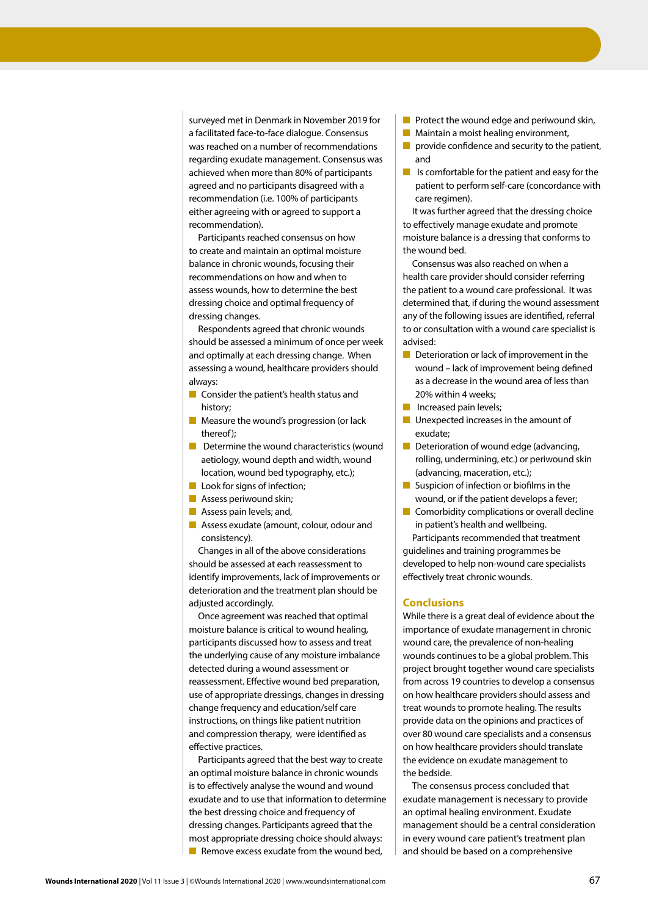surveyed met in Denmark in November 2019 for a facilitated face-to-face dialogue. Consensus was reached on a number of recommendations regarding exudate management. Consensus was achieved when more than 80% of participants agreed and no participants disagreed with a recommendation (i.e. 100% of participants either agreeing with or agreed to support a recommendation).

Participants reached consensus on how to create and maintain an optimal moisture balance in chronic wounds, focusing their recommendations on how and when to assess wounds, how to determine the best dressing choice and optimal frequency of dressing changes.

Respondents agreed that chronic wounds should be assessed a minimum of once per week and optimally at each dressing change. When assessing a wound, healthcare providers should always:

- Consider the patient's health status and history;
- Measure the wound's progression (or lack thereof);
- Determine the wound characteristics (wound aetiology, wound depth and width, wound location, wound bed typography, etc.);
- Look for signs of infection;
- Assess periwound skin;
- Assess pain levels; and,
- Assess exudate (amount, colour, odour and consistency).

Changes in all of the above considerations should be assessed at each reassessment to identify improvements, lack of improvements or deterioration and the treatment plan should be adjusted accordingly.

Once agreement was reached that optimal moisture balance is critical to wound healing, participants discussed how to assess and treat the underlying cause of any moisture imbalance detected during a wound assessment or reassessment. Effective wound bed preparation, use of appropriate dressings, changes in dressing change frequency and education/self care instructions, on things like patient nutrition and compression therapy, were identified as effective practices.

Participants agreed that the best way to create an optimal moisture balance in chronic wounds is to effectively analyse the wound and wound exudate and to use that information to determine the best dressing choice and frequency of dressing changes. Participants agreed that the most appropriate dressing choice should always: ■ Remove excess exudate from the wound bed,

- Protect the wound edge and periwound skin,
- Maintain a moist healing environment,
- $\blacksquare$  provide confidence and security to the patient, and
- Is comfortable for the patient and easy for the patient to perform self-care (concordance with care regimen).

It was further agreed that the dressing choice to effectively manage exudate and promote moisture balance is a dressing that conforms to the wound bed.

Consensus was also reached on when a health care provider should consider referring the patient to a wound care professional. It was determined that, if during the wound assessment any of the following issues are identified, referral to or consultation with a wound care specialist is advised:

- Deterioration or lack of improvement in the wound – lack of improvement being defined as a decrease in the wound area of less than 20% within 4 weeks;
- **B** Increased pain levels:
- Unexpected increases in the amount of exudate;
- Deterioration of wound edge (advancing, rolling, undermining, etc.) or periwound skin (advancing, maceration, etc.);
- Suspicion of infection or biofilms in the wound, or if the patient develops a fever;
- Comorbidity complications or overall decline in patient's health and wellbeing.

Participants recommended that treatment guidelines and training programmes be developed to help non-wound care specialists effectively treat chronic wounds.

# **Conclusions**

While there is a great deal of evidence about the importance of exudate management in chronic wound care, the prevalence of non-healing wounds continues to be a global problem. This project brought together wound care specialists from across 19 countries to develop a consensus on how healthcare providers should assess and treat wounds to promote healing. The results provide data on the opinions and practices of over 80 wound care specialists and a consensus on how healthcare providers should translate the evidence on exudate management to the bedside.

The consensus process concluded that exudate management is necessary to provide an optimal healing environment. Exudate management should be a central consideration in every wound care patient's treatment plan and should be based on a comprehensive